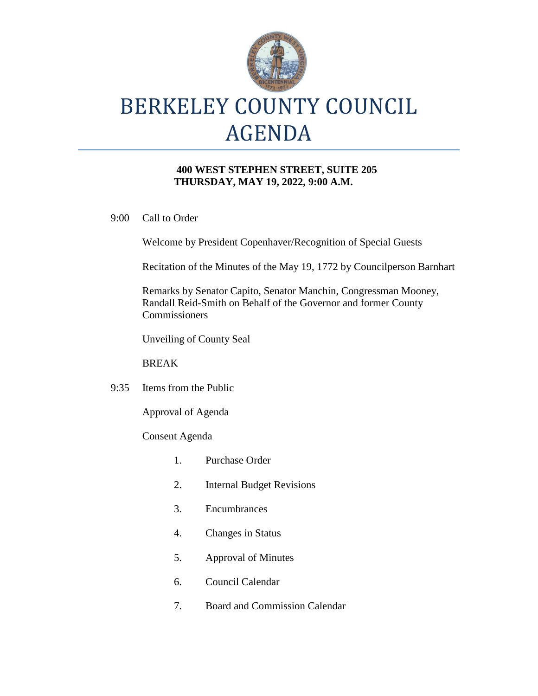

## **400 WEST STEPHEN STREET, SUITE 205 THURSDAY, MAY 19, 2022, 9:00 A.M.**

9:00 Call to Order

Welcome by President Copenhaver/Recognition of Special Guests

Recitation of the Minutes of the May 19, 1772 by Councilperson Barnhart

Remarks by Senator Capito, Senator Manchin, Congressman Mooney, Randall Reid-Smith on Behalf of the Governor and former County **Commissioners** 

Unveiling of County Seal

BREAK

9:35 Items from the Public

Approval of Agenda

Consent Agenda

- 1. Purchase Order
- 2. Internal Budget Revisions
- 3. Encumbrances
- 4. Changes in Status
- 5. Approval of Minutes
- 6. Council Calendar
- 7. Board and Commission Calendar